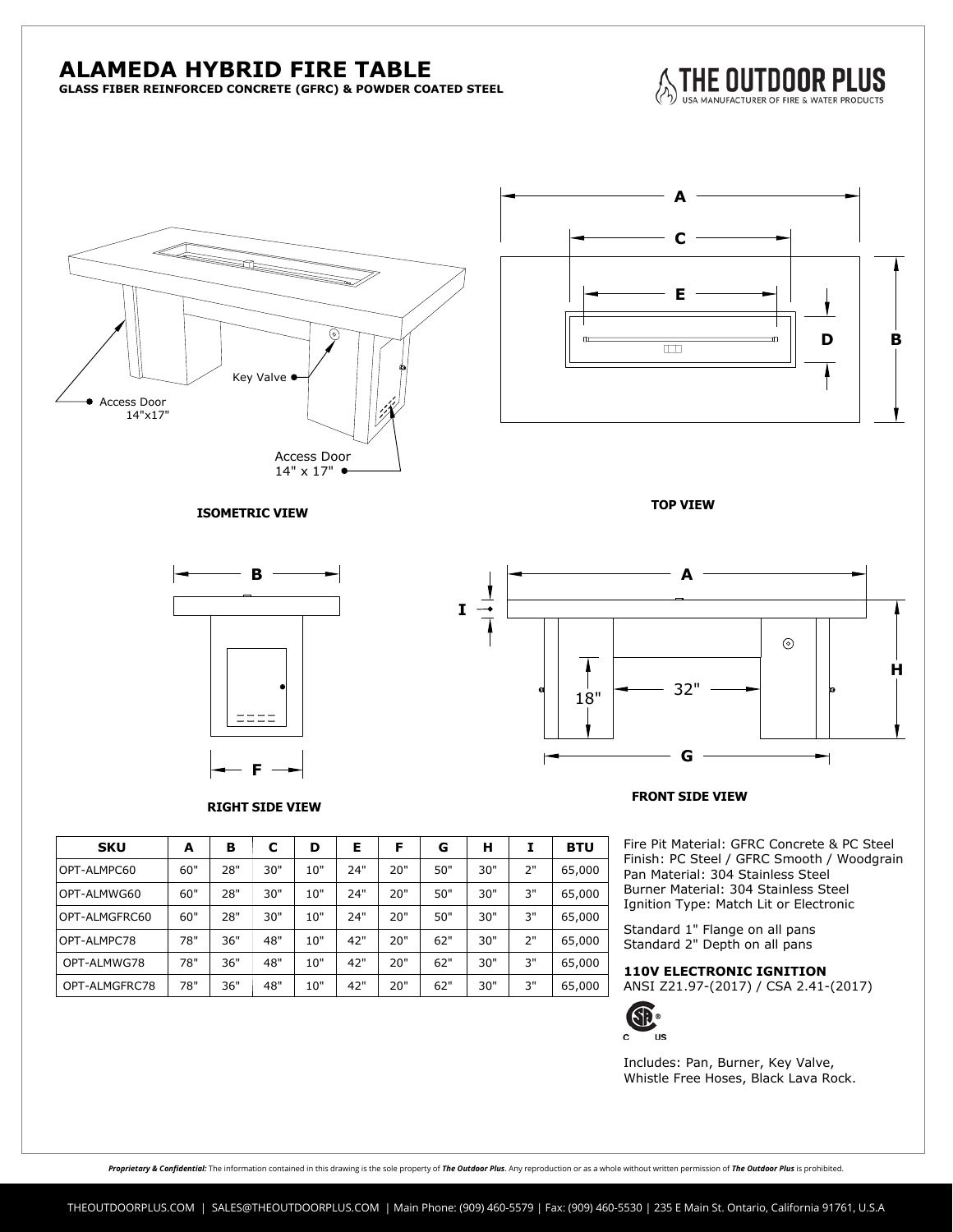## **ALAMEDA HYBRID FIRE TABLE**

**GLASS FIBER REINFORCED CONCRETE (GFRC) & POWDER COATED STEEL**







**ISOMETRIC VIEW TOP VIEW**



**RIGHT SIDE VIEW**



**FRONT SIDE VIEW**

Fire Pit Material: GFRC Concrete & PC Steel Finish: PC Steel / GFRC Smooth / Woodgrain Pan Material: 304 Stainless Steel Burner Material: 304 Stainless Steel Ignition Type: Match Lit or Electronic

Standard 1" Flange on all pans Standard 2" Depth on all pans

ANSI Z21.97-(2017) / CSA 2.41-(2017)



Includes: Pan, Burner, Key Valve,<br>Whistle Free Hoses, Black Lava Rock. Whistle Free Hoses, Black Lava Rock. **110V ELECTRONIC IGNITION**

| <b>SKU</b>    | A   | в   | C   | D   | Е   | F   | G   | н   |    | <b>BTU</b> |
|---------------|-----|-----|-----|-----|-----|-----|-----|-----|----|------------|
| OPT-ALMPC60   | 60" | 28" | 30" | 10" | 24" | 20" | 50" | 30" | 2" | 65,000     |
| OPT-ALMWG60   | 60" | 28" | 30" | 10" | 24" | 20" | 50" | 30" | 3" | 65,000     |
| OPT-ALMGFRC60 | 60" | 28" | 30" | 10" | 24" | 20" | 50" | 30" | 3" | 65,000     |
| OPT-ALMPC78   | 78" | 36" | 48" | 10" | 42" | 20" | 62" | 30" | 2" | 65,000     |
| OPT-ALMWG78   | 78" | 36" | 48" | 10" | 42" | 20" | 62" | 30" | 3" | 65,000     |
| OPT-ALMGFRC78 | 78" | 36" | 48" | 10" | 42" | 20" | 62" | 30" | 3" | 65,000     |

Proprietary & Confidential: The information contained in this drawing is the sole property of The Outdoor Plus. Any reproduction or as a whole without written permission of The Outdoor Plus is prohibited.